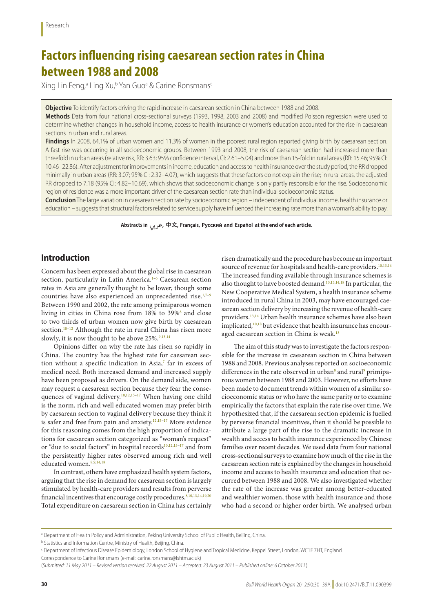# **Factors influencing rising caesarean section rates in China between 1988 and 2008**

Xing Lin Feng,<sup>a</sup> Ling Xu,<sup>b</sup> Yan Guo<sup>a</sup> & Carine Ronsmans<sup>c</sup>

**Objective** To identify factors driving the rapid increase in caesarean section in China between 1988 and 2008.

**Methods** Data from four national cross-sectional surveys (1993, 1998, 2003 and 2008) and modified Poisson regression were used to determine whether changes in household income, access to health insurance or women's education accounted for the rise in caesarean sections in urban and rural areas.

Findings In 2008, 64.1% of urban women and 11.3% of women in the poorest rural region reported giving birth by caesarean section. A fast rise was occurring in all socioeconomic groups. Between 1993 and 2008, the risk of caesarean section had increased more than threefold in urban areas (relative risk, RR: 3.63; 95% confidence interval, CI: 2.61–5.04) and more than 15-fold in rural areas (RR: 15.46; 95% CI: 10.46–22.86). After adjustment for improvements in income, education and access to health insurance over the study period, the RR dropped minimally in urban areas (RR: 3.07; 95% CI: 2.32–4.07), which suggests that these factors do not explain the rise; in rural areas, the adjusted RR dropped to 7.18 (95% CI: 4.82–10.69), which shows that socioeconomic change is only partly responsible for the rise. Socioeconomic region of residence was a more important driver of the caesarean section rate than individual socioeconomic status.

**Conclusion** The large variation in caesarean section rate by socioeconomic region – independent of individual income, health insurance or education – suggests that structural factors related to service supply have influenced the increasing rate more than a woman's ability to pay.

Abstracts in عربی, 中文, Français, Русский and Español at the end of each article.

# **Introduction**

Concern has been expressed about the global rise in caesarean section, particularly in Latin America.<sup>1-[6](#page-9-1)</sup> Caesarean section rates in Asia are generally thought to be lower, though some countries have also experienced an unprecedented rise.<sup>1,7-[9](#page-9-3)</sup> Between 1990 and 2002, the rate among primiparous women living in cities in China rose from 1[8](#page-9-4)% to 39%<sup>8</sup> and close to two thirds of urban women now give birth by caesarean section.<sup>[10](#page-9-5)–12</sup> Although the rate in rural China has risen more slowly, it is now thought to be above 25%.<sup>9,[13,](#page-9-7)[14](#page-9-8)</sup>

Opinions differ on why the rate has risen so rapidly in China. The country has the highest rate for caesarean sec-tion without a specific indication in Asia,<sup>[7](#page-9-2)</sup> far in excess of medical need. Both increased demand and increased supply have been proposed as drivers. On the demand side, women may request a caesarean section because they fear the conse-quences of vaginal delivery.<sup>10,[12,](#page-9-6)[15](#page-9-9)-17</sup> When having one child is the norm, rich and well educated women may prefer birth by caesarean section to vaginal delivery because they think it is safer and free from pain and anxiety.[12](#page-9-6),[15](#page-9-9)[–17](#page-9-10) More evidence for this reasoning comes from the high proportion of indications for caesarean section categorized as "woman's request" or "due to social factors" in hospital records<sup>10,[12](#page-9-6),[15](#page-9-9)-17</sup> and from the persistently higher rates observed among rich and well educated women.<sup>[8](#page-9-4),[9](#page-9-3),[14](#page-9-8)[,18](#page-9-11)</sup>

In contrast, others have emphasized health system factors, arguing that the rise in demand for caesarean section is largely stimulated by health-care providers and results from perverse financial incentives that encourage costly procedures. 8,[10](#page-9-5),[13,](#page-9-7)[14](#page-9-8),[19](#page-9-12)[,20](#page-9-13) Total expenditure on caesarean section in China has certainly

risen dramatically and the procedure has become an important source of revenue for hospitals and health-care providers.<sup>10,[13](#page-9-7)[,14](#page-9-8)</sup> The increased funding available through insurance schemes is also thought to have boosted demand.<sup>[10](#page-9-5),[13](#page-9-7)[,14,](#page-9-8)[18](#page-9-11)</sup> In particular, the New Cooperative Medical System, a health insurance scheme introduced in rural China in 2003, may have encouraged caesarean section delivery by increasing the revenue of health-care providers.<sup>[13](#page-9-7),14</sup> Urban health insurance schemes have also been implicated,<sup>[10](#page-9-5),18</sup> but evidence that health insurance has encouraged caesarean section in China is weak.<sup>13</sup>

The aim of this study was to investigate the factors responsible for the increase in caesarean section in China between 1988 and 2008. Previous analyses reported on socioeconomic differences in the rate observed in urban<sup>8</sup> and rural<sup>[9](#page-9-3)</sup> primiparous women between 1988 and 2003. However, no efforts have been made to document trends within women of a similar socioeconomic status or who have the same parity or to examine empirically the factors that explain the rate rise over time. We hypothesized that, if the caesarean section epidemic is fuelled by perverse financial incentives, then it should be possible to attribute a large part of the rise to the dramatic increase in wealth and access to health insurance experienced by Chinese families over recent decades. We used data from four national cross-sectional surveys to examine how much of the rise in the caesarean section rate is explained by the changes in household income and access to health insurance and education that occurred between 1988 and 2008. We also investigated whether the rate of the increase was greater among better-educated and wealthier women, those with health insurance and those who had a second or higher order birth. We analysed urban

a Department of Health Policy and Administration, Peking University School of Public Health, Beijing, China.

**b Statistics and Information Centre, Ministry of Health, Beijing, China.** 

c Department of Infectious Disease Epidemiology, London School of Hygiene and Tropical Medicine, Keppel Street, London, WC1E 7HT, England.

Correspondence to Carine Ronsmans (e-mail: carine.ronsmans@lshtm.ac.uk)

<sup>(</sup>*Submitted: 11 May 2011 – Revised version received: 22 August 2011 – Accepted: 23 August 2011 – Published online: 6 October 2011* )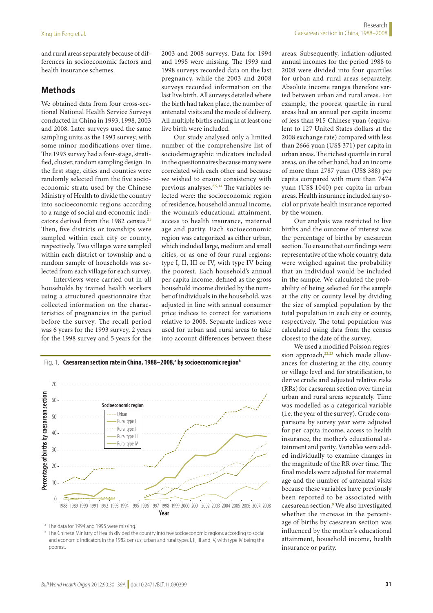and rural areas separately because of differences in socioeconomic factors and health insurance schemes.

# **Methods**

We obtained data from four cross-sectional National Health Service Surveys conducted in China in 1993, 1998, 2003 and 2008. Later surveys used the same sampling units as the 1993 survey, with some minor modifications over time. The 1993 survey had a four-stage, stratified, cluster, random sampling design. In the first stage, cities and counties were randomly selected from the five socioeconomic strata used by the Chinese Ministry of Health to divide the country into socioeconomic regions according to a range of social and economic indi-cators derived from the 1982 census.<sup>[21](#page-9-14)</sup> Then, five districts or townships were sampled within each city or county, respectively. Two villages were sampled within each district or township and a random sample of households was selected from each village for each survey.

Interviews were carried out in all households by trained health workers using a structured questionnaire that collected information on the characteristics of pregnancies in the period before the survey. The recall period was 6 years for the 1993 survey, 2 years for the 1998 survey and 5 years for the

2003 and 2008 surveys. Data for 1994 and 1995 were missing. The 1993 and 1998 surveys recorded data on the last pregnancy, while the 2003 and 2008 surveys recorded information on the last live birth. All surveys detailed where the birth had taken place, the number of antenatal visits and the mode of delivery. All multiple births ending in at least one live birth were included.

Our study analysed only a limited number of the comprehensive list of sociodemographic indicators included in the questionnaires because many were correlated with each other and because we wished to ensure consistency with previous analyses.<sup>8[,9](#page-9-3),14</sup> The variables selected were: the socioeconomic region of residence, household annual income, the woman's educational attainment, access to health insurance, maternal age and parity. Each socioeconomic region was categorized as either urban, which included large, medium and small cities, or as one of four rural regions: type I, II, III or IV, with type IV being the poorest. Each household's annual per capita income, defined as the gross household income divided by the number of individuals in the household, was adjusted in line with annual consumer price indices to correct for variations relative to 2008. Separate indices were used for urban and rural areas to take into account differences between these



areas. Subsequently, inflation-adjusted annual incomes for the period 1988 to 2008 were divided into four quartiles for urban and rural areas separately. Absolute income ranges therefore varied between urban and rural areas. For example, the poorest quartile in rural areas had an annual per capita income of less than 915 Chinese yuan (equivalent to 127 United States dollars at the 2008 exchange rate) compared with less than 2666 yuan (US\$ 371) per capita in urban areas. The richest quartile in rural areas, on the other hand, had an income of more than 2787 yuan (US\$ 388) per capita compared with more than 7474 yuan (US\$ 1040) per capita in urban areas. Health insurance included any social or private health insurance reported by the women.

Our analysis was restricted to live births and the outcome of interest was the percentage of births by caesarean section. To ensure that our findings were representative of the whole country, data were weighed against the probability that an individual would be included in the sample. We calculated the probability of being selected for the sample at the city or county level by dividing the size of sampled population by the total population in each city or county, respectively. The total population was calculated using data from the census closest to the date of the survey.

We used a modified Poisson regression approach, $22,23$  $22,23$  which made allowances for clustering at the city, county or village level and for stratification, to derive crude and adjusted relative risks (RRs) for caesarean section over time in urban and rural areas separately. Time was modelled as a categorical variable (i.e. the year of the survey). Crude comparisons by survey year were adjusted for per capita income, access to health insurance, the mother's educational attainment and parity. Variables were added individually to examine changes in the magnitude of the RR over time. The final models were adjusted for maternal age and the number of antenatal visits because these variables have previously been reported to be associated with caesarean section.<sup>[9](#page-9-3)</sup> We also investigated whether the increase in the percentage of births by caesarean section was influenced by the mother's educational attainment, household income, health insurance or parity.

<span id="page-1-0"></span>

<sup>&</sup>lt;sup>a</sup> The data for 1994 and 1995 were missing.

**b** The Chinese Ministry of Health divided the country into five socioeconomic regions according to social and economic indicators in the 1982 census: urban and rural types I, II, III and IV, with type IV being the poorest.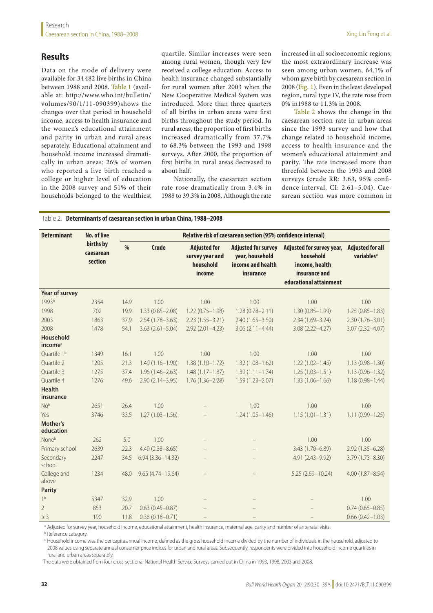# **Results**

Data on the mode of delivery were available for 34 482 live births in China between 1988 and 2008. [Table](#page-10-0) 1 (available at: [http://www.who.int/bulletin/](http://www.who.int/bulletin/volumes/90/1/11-090399) [volumes/90/1/11-090399\)](http://www.who.int/bulletin/volumes/90/1/11-090399)shows the changes over that period in household income, access to health insurance and the women's educational attainment and parity in urban and rural areas separately. Educational attainment and household income increased dramatically in urban areas: 26% of women who reported a live birth reached a college or higher level of education in the 2008 survey and 51% of their households belonged to the wealthiest quartile. Similar increases were seen among rural women, though very few received a college education. Access to health insurance changed substantially for rural women after 2003 when the New Cooperative Medical System was introduced. More than three quarters of all births in urban areas were first births throughout the study period. In rural areas, the proportion of first births increased dramatically from 37.7% to 68.3% between the 1993 and 1998 surveys. After 2000, the proportion of first births in rural areas decreased to about half.

Nationally, the caesarean section rate rose dramatically from 3.4% in 1988 to 39.3% in 2008. Although the rate

increased in all socioeconomic regions, the most extraordinary increase was seen among urban women, 64.1% of whom gave birth by caesarean section in 2008 [\(Fig.](#page-1-0) 1). Even in the least developed region, rural type IV, the rate rose from 0% in1988 to 11.3% in 2008.

[Table](#page-2-0) 2 shows the change in the caesarean section rate in urban areas since the 1993 survey and how that change related to household income, access to health insurance and the women's educational attainment and parity. The rate increased more than threefold between the 1993 and 2008 surveys (crude RR: 3.63, 95% confidence interval, CI: 2.61–5.04). Caesarean section was more common in

#### <span id="page-2-0"></span>Table 2. **Determinants of caesarean section in urban China, 1988–2008**

| <b>Determinant</b>                      | <b>No. of live</b><br>births by<br>caesarean<br>section | Relative risk of caesarean section (95% confidence interval) |                      |                                                               |                                                                                 |                                                                                                     |                                                   |  |  |
|-----------------------------------------|---------------------------------------------------------|--------------------------------------------------------------|----------------------|---------------------------------------------------------------|---------------------------------------------------------------------------------|-----------------------------------------------------------------------------------------------------|---------------------------------------------------|--|--|
|                                         |                                                         | %                                                            | <b>Crude</b>         | <b>Adjusted for</b><br>survey year and<br>household<br>income | <b>Adjusted for survey</b><br>year, household<br>income and health<br>insurance | Adjusted for survey year,<br>household<br>income, health<br>insurance and<br>educational attainment | <b>Adjusted for all</b><br>variables <sup>a</sup> |  |  |
| Year of survey                          |                                                         |                                                              |                      |                                                               |                                                                                 |                                                                                                     |                                                   |  |  |
| 1993b                                   | 2354                                                    | 14.9                                                         | 1.00                 | 1.00                                                          | 1.00                                                                            | 1.00                                                                                                | 1.00                                              |  |  |
| 1998                                    | 702                                                     | 19.9                                                         | $1.33(0.85 - 2.08)$  | $1.22(0.75 - 1.98)$                                           | $1.28(0.78 - 2.11)$                                                             | $1.30(0.85 - 1.99)$                                                                                 | $1.25(0.85 - 1.83)$                               |  |  |
| 2003                                    | 1863                                                    | 37.9                                                         | $2.54(1.78 - 3.63)$  | $2.23(1.55 - 3.21)$                                           | $2.40(1.65 - 3.50)$                                                             | $2.34(1.69 - 3.24)$                                                                                 | $2.30(1.76 - 3.01)$                               |  |  |
| 2008                                    | 1478                                                    | 54.1                                                         | $3.63(2.61 - 5.04)$  | $2.92(2.01 - 4.23)$                                           | $3.06(2.11 - 4.44)$                                                             | $3.08(2.22 - 4.27)$                                                                                 | $3.07(2.32 - 4.07)$                               |  |  |
| <b>Household</b><br>income <sup>c</sup> |                                                         |                                                              |                      |                                                               |                                                                                 |                                                                                                     |                                                   |  |  |
| Ouartile 1 <sup>b</sup>                 | 1349                                                    | 16.1                                                         | 1.00                 | 1.00                                                          | 1.00                                                                            | 1.00                                                                                                | 1.00                                              |  |  |
| Quartile 2                              | 1205                                                    | 21.3                                                         | $1.49(1.16 - 1.90)$  | $1.38(1.10 - 1.72)$                                           | $1.32(1.08 - 1.62)$                                                             | $1.22(1.02 - 1.45)$                                                                                 | $1.13(0.98 - 1.30)$                               |  |  |
| Ouartile 3                              | 1275                                                    | 37.4                                                         | $1.96(1.46 - 2.63)$  | $1.48(1.17 - 1.87)$                                           | $1.39(1.11 - 1.74)$                                                             | $1.25(1.03 - 1.51)$                                                                                 | $1.13(0.96 - 1.32)$                               |  |  |
| Quartile 4                              | 1276                                                    | 49.6                                                         | $2.90(2.14 - 3.95)$  | $1.76(1.36 - 2.28)$                                           | $1.59(1.23 - 2.07)$                                                             | $1.33(1.06 - 1.66)$                                                                                 | $1.18(0.98 - 1.44)$                               |  |  |
| <b>Health</b><br>insurance              |                                                         |                                                              |                      |                                                               |                                                                                 |                                                                                                     |                                                   |  |  |
| No <sup>b</sup>                         | 2651                                                    | 26.4                                                         | 1.00                 |                                                               | 1.00                                                                            | 1.00                                                                                                | 1.00                                              |  |  |
| Yes                                     | 3746                                                    | 33.5                                                         | $1.27(1.03 - 1.56)$  |                                                               | $1.24(1.05 - 1.46)$                                                             | $1.15(1.01 - 1.31)$                                                                                 | $1.11(0.99 - 1.25)$                               |  |  |
| Mother's<br>education                   |                                                         |                                                              |                      |                                                               |                                                                                 |                                                                                                     |                                                   |  |  |
| None <sup>b</sup>                       | 262                                                     | 5.0                                                          | 1.00                 |                                                               |                                                                                 | 1.00                                                                                                | 1.00                                              |  |  |
| Primary school                          | 2639                                                    | 22.3                                                         | $4.49(2.33 - 8.65)$  |                                                               |                                                                                 | $3.43(1.70 - 6.89)$                                                                                 | $2.92(1.35 - 6.28)$                               |  |  |
| Secondary<br>school                     | 2247                                                    | 34.5                                                         | $6.94(3.36 - 14.32)$ | $\qquad \qquad -$                                             |                                                                                 | 4.91 (2.43-9.92)                                                                                    | $3.79(1.73 - 8.30)$                               |  |  |
| College and<br>above                    | 1234                                                    | 48.0                                                         | $9.65(4.74 - 19.64)$ |                                                               |                                                                                 | $5.25(2.69 - 10.24)$                                                                                | $4.00(1.87 - 8.54)$                               |  |  |
| <b>Parity</b>                           |                                                         |                                                              |                      |                                                               |                                                                                 |                                                                                                     |                                                   |  |  |
| 1 <sup>b</sup>                          | 5347                                                    | 32.9                                                         | 1.00                 |                                                               |                                                                                 |                                                                                                     | 1.00                                              |  |  |
| $\overline{2}$                          | 853                                                     | 20.7                                                         | $0.63(0.45 - 0.87)$  |                                                               |                                                                                 |                                                                                                     | $0.74(0.65 - 0.85)$                               |  |  |
| $\geq$ 3                                | 190                                                     | 11.8                                                         | $0.36(0.18 - 0.71)$  |                                                               |                                                                                 |                                                                                                     | $0.66(0.42 - 1.03)$                               |  |  |

a Adjusted for survey year, household income, educational attainment, health insurance, maternal age, parity and number of antenatal visits.

**b** Reference category.

<sup>c</sup> Household income was the per capita annual income, defined as the gross household income divided by the number of individuals in the household, adjusted to 2008 values using separate annual consumer price indices for urban and rural areas. Subsequently, respondents were divided into household income quartiles in rural and urban areas separately.

The data were obtained from four cross-sectional National Health Service Surveys carried out in China in 1993, 1998, 2003 and 2008.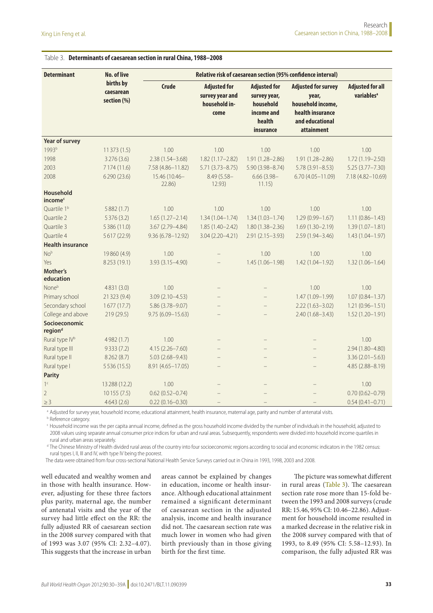| <b>Determinant</b>                   | No. of live                           | Relative risk of caesarean section (95% confidence interval) |                                                                 |                                                                                       |                                                                                                               |                                                   |  |  |  |
|--------------------------------------|---------------------------------------|--------------------------------------------------------------|-----------------------------------------------------------------|---------------------------------------------------------------------------------------|---------------------------------------------------------------------------------------------------------------|---------------------------------------------------|--|--|--|
|                                      | births by<br>caesarean<br>section (%) | <b>Crude</b>                                                 | <b>Adjusted for</b><br>survey year and<br>household in-<br>come | <b>Adjusted for</b><br>survey year,<br>household<br>income and<br>health<br>insurance | <b>Adjusted for survey</b><br>year,<br>household income,<br>health insurance<br>and educational<br>attainment | <b>Adjusted for all</b><br>variables <sup>a</sup> |  |  |  |
| Year of survey                       |                                       |                                                              |                                                                 |                                                                                       |                                                                                                               |                                                   |  |  |  |
| 1993b                                | 11373 (1.5)                           | 1.00                                                         | 1.00                                                            | 1.00                                                                                  | 1.00                                                                                                          | 1.00                                              |  |  |  |
| 1998                                 | 3 2 7 6 (3.6)                         | $2.38(1.54 - 3.68)$                                          | $1.82(1.17 - 2.82)$                                             | 1.91 (1.28-2.86)                                                                      | $1.91(1.28 - 2.86)$                                                                                           | 1.72 (1.19-2.50)                                  |  |  |  |
| 2003                                 | 7 174 (11.6)                          | 7.58 (4.86-11.82)                                            | $5.71(3.73 - 8.75)$                                             | $5.90(3.98 - 8.74)$                                                                   | $5.78(3.91 - 8.53)$                                                                                           | $5.25(3.77 - 7.30)$                               |  |  |  |
| 2008                                 | 6290 (23.6)                           | 15.46 (10.46-<br>22.86)                                      | $8.49(5.58 -$<br>12.93)                                         | $6.66(3.98 -$<br>11.15)                                                               | $6.70(4.05 - 11.09)$                                                                                          | 7.18 (4.82-10.69)                                 |  |  |  |
| Household<br>income <sup>c</sup>     |                                       |                                                              |                                                                 |                                                                                       |                                                                                                               |                                                   |  |  |  |
| Quartile 1 <sup>b</sup>              | 5882 (1.7)                            | 1.00                                                         | 1.00                                                            | 1.00                                                                                  | 1.00                                                                                                          | 1.00                                              |  |  |  |
| Quartile 2                           | 5376 (3.2)                            | $1.65(1.27 - 2.14)$                                          | $1.34(1.04 - 1.74)$                                             | $1.34(1.03 - 1.74)$                                                                   | $1.29(0.99 - 1.67)$                                                                                           | $1.11(0.86 - 1.43)$                               |  |  |  |
| Quartile 3                           | 5 386 (11.0)                          | $3.67(2.79 - 4.84)$                                          | $1.85(1.40 - 2.42)$                                             | $1.80(1.38 - 2.36)$                                                                   | $1.69(1.30 - 2.19)$                                                                                           | $1.39(1.07 - 1.81)$                               |  |  |  |
| Quartile 4                           | 5617 (22.9)                           | $9.36(6.78 - 12.92)$                                         | 3.04 (2.20-4.21)                                                | $2.91(2.15 - 3.93)$                                                                   | $2.59(1.94 - 3.46)$                                                                                           | $1.43(1.04 - 1.97)$                               |  |  |  |
| <b>Health insurance</b>              |                                       |                                                              |                                                                 |                                                                                       |                                                                                                               |                                                   |  |  |  |
| No <sup>b</sup>                      | 19860 (4.9)                           | 1.00                                                         |                                                                 | 1.00                                                                                  | 1.00                                                                                                          | 1.00                                              |  |  |  |
| Yes                                  | 8253 (19.1)                           | 3.93 (3.15-4.90)                                             |                                                                 | $1.45(1.06 - 1.98)$                                                                   | $1.42(1.04 - 1.92)$                                                                                           | $1.32(1.06 - 1.64)$                               |  |  |  |
| Mother's<br>education                |                                       |                                                              |                                                                 |                                                                                       |                                                                                                               |                                                   |  |  |  |
| None <sup>b</sup>                    | 4831 (3.0)                            | 1.00                                                         |                                                                 |                                                                                       | 1.00                                                                                                          | 1.00                                              |  |  |  |
| Primary school                       | 21 3 23 (9.4)                         | $3.09(2.10 - 4.53)$                                          |                                                                 |                                                                                       | $1.47(1.09 - 1.99)$                                                                                           | $1.07(0.84 - 1.37)$                               |  |  |  |
| Secondary school                     | 1677(17.7)                            | 5.86 (3.78-9.07)                                             |                                                                 |                                                                                       | $2.22(1.63 - 3.02)$                                                                                           | $1.21(0.96 - 1.51)$                               |  |  |  |
| College and above                    | 219 (29.5)                            | 9.75 (6.09-15.63)                                            |                                                                 |                                                                                       | $2.40(1.68 - 3.43)$                                                                                           | $1.52(1.20 - 1.91)$                               |  |  |  |
| Socioeconomic<br>region <sup>d</sup> |                                       |                                                              |                                                                 |                                                                                       |                                                                                                               |                                                   |  |  |  |
| Rural type IV <sup>b</sup>           | 4982 (1.7)                            | 1.00                                                         | $\qquad \qquad -$                                               | $\qquad \qquad -$                                                                     | $\qquad \qquad -$                                                                                             | 1.00                                              |  |  |  |
| Rural type III                       | 9333 (7.2)                            | 4.15 (2.26-7.60)                                             | $\qquad \qquad -$                                               | $=$                                                                                   | $\equiv$                                                                                                      | 2.94 (1.80-4.80)                                  |  |  |  |
| Rural type II                        | 8262 (8.7)                            | $5.03(2.68 - 9.43)$                                          | $\qquad \qquad -$                                               | $=$                                                                                   |                                                                                                               | $3.36(2.01 - 5.63)$                               |  |  |  |
| Rural type I                         | 5536 (15.5)                           | 8.91 (4.65-17.05)                                            |                                                                 |                                                                                       |                                                                                                               | 4.85 (2.88-8.19)                                  |  |  |  |
| <b>Parity</b>                        |                                       |                                                              |                                                                 |                                                                                       |                                                                                                               |                                                   |  |  |  |
| 1 <sup>c</sup>                       | 13 288 (12.2)                         | 1.00                                                         |                                                                 |                                                                                       | $\overline{\phantom{0}}$                                                                                      | 1.00                                              |  |  |  |
| $\overline{2}$                       | 10155(7.5)                            | $0.62(0.52 - 0.74)$                                          |                                                                 |                                                                                       |                                                                                                               | $0.70(0.62 - 0.79)$                               |  |  |  |
| $\geq$ 3                             | 4643(2.6)                             | $0.22(0.16 - 0.30)$                                          |                                                                 |                                                                                       |                                                                                                               | $0.54(0.41 - 0.71)$                               |  |  |  |

#### <span id="page-3-0"></span>Table 3. **Determinants of caesarean section in rural China, 1988–2008**

a Adjusted for survey year, household income, educational attainment, health insurance, maternal age, parity and number of antenatal visits.

**b** Reference category.

<sup>c</sup> Household income was the per capita annual income, defined as the gross household income divided by the number of individuals in the household, adjusted to 2008 values using separate annual consumer price indices for urban and rural areas. Subsequently, respondents were divided into household income quartiles in rural and urban areas separately.

<sup>d</sup> The Chinese Ministry of Health divided rural areas of the country into four socioeconomic regions according to social and economic indicators in the 1982 census: rural types I, II, III and IV, with type IV being the poorest.

The data were obtained from four cross-sectional National Health Service Surveys carried out in China in 1993, 1998, 2003 and 2008.

well educated and wealthy women and in those with health insurance. However, adjusting for these three factors plus parity, maternal age, the number of antenatal visits and the year of the survey had little effect on the RR: the fully adjusted RR of caesarean section in the 2008 survey compared with that of 1993 was 3.07 (95% CI: 2.32–4.07). This suggests that the increase in urban

areas cannot be explained by changes in education, income or health insurance. Although educational attainment remained a significant determinant of caesarean section in the adjusted analysis, income and health insurance did not. The caesarean section rate was much lower in women who had given birth previously than in those giving birth for the first time.

The picture was somewhat different in rural areas [\(Table](#page-3-0) 3). The caesarean section rate rose more than 15-fold between the 1993 and 2008 surveys (crude RR: 15.46, 95% CI: 10.46–22.86). Adjustment for household income resulted in a marked decrease in the relative risk in the 2008 survey compared with that of 1993, to 8.49 (95% CI: 5.58–12.93). In comparison, the fully adjusted RR was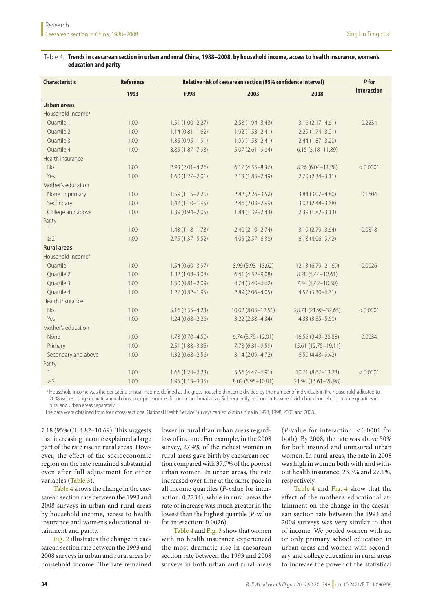#### <span id="page-4-0"></span>Table 4. **Trends in caesarean section in urban and rural China, 1988–2008, by household income, access to health insurance, women's education and parity**

| <b>Characteristic</b>         | <b>Reference</b> | Relative risk of caesarean section (95% confidence interval) | P for                |                      |             |  |
|-------------------------------|------------------|--------------------------------------------------------------|----------------------|----------------------|-------------|--|
|                               | 1993             | 1998                                                         | 2003                 | 2008                 | interaction |  |
| <b>Urban areas</b>            |                  |                                                              |                      |                      |             |  |
| Household income <sup>a</sup> |                  |                                                              |                      |                      |             |  |
| Quartile 1                    | 1.00             | $1.51(1.00 - 2.27)$                                          | $2.58(1.94 - 3.43)$  | $3.16(2.17 - 4.61)$  | 0.2234      |  |
| Quartile 2                    | 1.00             | $1.14(0.81 - 1.62)$                                          | $1.92(1.53 - 2.41)$  | $2.29(1.74 - 3.01)$  |             |  |
| Quartile 3                    | 1.00             | $1.35(0.95 - 1.91)$                                          | $1.99(1.53 - 2.41)$  | $2.44(1.87 - 3.20)$  |             |  |
| Quartile 4                    | 1.00             | $3.85(1.87 - 7.93)$                                          | $5.07(2.61 - 9.84)$  | $6.15(3.18 - 11.89)$ |             |  |
| Health insurance              |                  |                                                              |                      |                      |             |  |
| <b>No</b>                     | 1.00             | $2.93(2.01 - 4.26)$                                          | $6.17(4.55 - 8.36)$  | 8.26 (6.04-11.28)    | < 0.0001    |  |
| Yes                           | 1.00             | $1.60(1.27 - 2.01)$                                          | $2.13(1.83 - 2.49)$  | $2.70(2.34 - 3.11)$  |             |  |
| Mother's education            |                  |                                                              |                      |                      |             |  |
| None or primary               | 1.00             | $1.59(1.15 - 2.20)$                                          | $2.82(2.26 - 3.52)$  | $3.84(3.07 - 4.80)$  | 0.1604      |  |
| Secondary                     | 1.00             | $1.47(1.10 - 1.95)$                                          | $2.46(2.03 - 2.99)$  | $3.02(2.48 - 3.68)$  |             |  |
| College and above             | 1.00             | $1.39(0.94 - 2.05)$                                          | $1.84(1.39 - 2.43)$  | $2.39(1.82 - 3.13)$  |             |  |
| Parity                        |                  |                                                              |                      |                      |             |  |
| $\mathbf{1}$                  | 1.00             | $1.43(1.18 - 1.73)$                                          | $2.40(2.10 - 2.74)$  | $3.19(2.79 - 3.64)$  | 0.0818      |  |
| $\geq$ 2                      | 1.00             | $2.75(1.37 - 5.52)$                                          | $4.05(2.57 - 6.38)$  | $6.18(4.06 - 9.42)$  |             |  |
| <b>Rural areas</b>            |                  |                                                              |                      |                      |             |  |
| Household income <sup>a</sup> |                  |                                                              |                      |                      |             |  |
| Quartile 1                    | 1.00             | $1.54(0.60 - 3.97)$                                          | 8.99 (5.93-13.62)    | 12.13 (6.79-21.69)   | 0.0026      |  |
| Quartile 2                    | 1.00             | $1.82(1.08 - 3.08)$                                          | $6.41(4.52 - 9.08)$  | 8.28 (5.44-12.61)    |             |  |
| Quartile 3                    | 1.00             | $1.30(0.81 - 2.09)$                                          | $4.74(3.40 - 6.62)$  | 7.54 (5.42-10.50)    |             |  |
| Quartile 4                    | 1.00             | $1.27(0.82 - 1.95)$                                          | $2.89(2.06 - 4.05)$  | $4.57(3.30 - 6.31)$  |             |  |
| Health insurance              |                  |                                                              |                      |                      |             |  |
| <b>No</b>                     | 1.00             | $3.16(2.35 - 4.23)$                                          | 10.02 (8.03-12.51)   | 28.71 (21.90-37.65)  | < 0.0001    |  |
| Yes                           | 1.00             | $1.24(0.68 - 2.26)$                                          | $3.22(2.38 - 4.34)$  | $4.33(3.35 - 5.60)$  |             |  |
| Mother's education            |                  |                                                              |                      |                      |             |  |
| None                          | 1.00             | $1.78(0.70 - 4.50)$                                          | $6.74(3.79 - 12.01)$ | 16.56 (9.49-28.88)   | 0.0034      |  |
| Primary                       | 1.00             | $2.51(1.88 - 3.35)$                                          | $7.78(6.31 - 9.59)$  | 15.61 (12.75-19.11)  |             |  |
| Secondary and above           | 1.00             | $1.32(0.68 - 2.56)$                                          | $3.14(2.09 - 4.72)$  | $6.50(4.48 - 9.42)$  |             |  |
| Parity                        |                  |                                                              |                      |                      |             |  |
| $\mathbf{1}$                  | 1.00             | $1.66(1.24 - 2.23)$                                          | 5.56 (4.47-6.91)     | 10.71 (8.67-13.23)   | < 0.0001    |  |
| $\geq$ 2                      | 1.00             | $1.95(1.13 - 3.35)$                                          | 8.02 (5.95-10.81)    | 21.94 (16.61-28.98)  |             |  |

<sup>a</sup> Household income was the per capita annual income, defined as the gross household income divided by the number of individuals in the household, adjusted to 2008 values using separate annual consumer price indices for urban and rural areas. Subsequently, respondents were divided into household income quartiles in rural and urban areas separately.

The data were obtained from four cross-sectional National Health Service Surveys carried out in China in 1993, 1998, 2003 and 2008.

7.18 (95% CI: 4.82–10.69). This suggests that increasing income explained a large part of the rate rise in rural areas. However, the effect of the socioeconomic region on the rate remained substantial even after full adjustment for other variables ([Table](#page-3-0) 3).

[Table](#page-4-0) 4 shows the change in the caesarean section rate between the 1993 and 2008 surveys in urban and rural areas by household income, access to health insurance and women's educational attainment and parity.

[Fig.](#page-5-0) 2 illustrates the change in caesarean section rate between the 1993 and 2008 surveys in urban and rural areas by household income. The rate remained

lower in rural than urban areas regardless of income. For example, in the 2008 survey, 27.4% of the richest women in rural areas gave birth by caesarean section compared with 37.7% of the poorest urban women. In urban areas, the rate increased over time at the same pace in all income quartiles (*P*-value for interaction: 0.2234), while in rural areas the rate of increase was much greater in the lowest than the highest quartile (*P*-value for interaction: 0.0026).

[Table](#page-4-0) 4 and [Fig.](#page-5-1) 3 show that women with no health insurance experienced the most dramatic rise in caesarean section rate between the 1993 and 2008 surveys in both urban and rural areas (*P*-value for interaction: < 0.0001 for both). By 2008, the rate was above 50% for both insured and uninsured urban women. In rural areas, the rate in 2008 was high in women both with and without health insurance: 23.3% and 27.1%, respectively.

[Table](#page-4-0) 4 and [Fig.](#page-6-0) 4 show that the effect of the mother's educational attainment on the change in the caesarean section rate between the 1993 and 2008 surveys was very similar to that of income. We pooled women with no or only primary school education in urban areas and women with secondary and college education in rural areas to increase the power of the statistical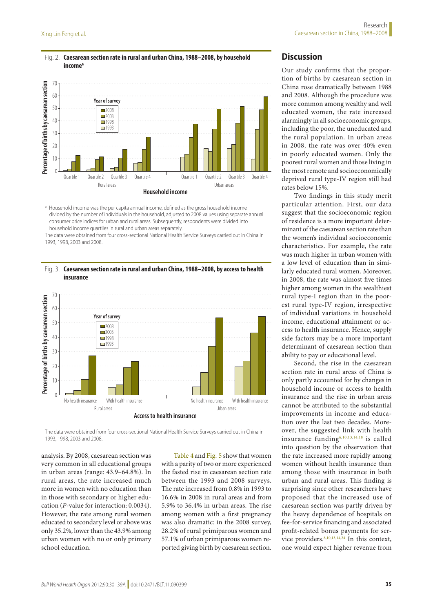#### <span id="page-5-0"></span>Fig. 2. **Caesarean section rate in rural and urban China, 1988–2008, by household**  income<sup>a</sup>



<sup>a</sup> Household income was the per capita annual income, defined as the gross household income divided by the number of individuals in the household, adjusted to 2008 values using separate annual consumer price indices for urban and rural areas. Subsequently, respondents were divided into household income quartiles in rural and urban areas separately.

The data were obtained from four cross-sectional National Health Service Surveys carried out in China in 1993, 1998, 2003 and 2008.

#### <span id="page-5-1"></span>Fig. 3. **Caesarean section rate in rural and urban China, 1988–2008, by access to health insurance**



The data were obtained from four cross-sectional National Health Service Surveys carried out in China in 1993, 1998, 2003 and 2008.

analysis. By 2008, caesarean section was very common in all educational groups in urban areas (range: 43.9–64.8%). In rural areas, the rate increased much more in women with no education than in those with secondary or higher education (*P*-value for interaction: 0.0034). However, the rate among rural women educated to secondary level or above was only 35.2%, lower than the 43.9% among urban women with no or only primary school education.

[Table](#page-4-0) 4 and [Fig.](#page-6-1) 5 show that women with a parity of two or more experienced the fasted rise in caesarean section rate between the 1993 and 2008 surveys. The rate increased from 0.8% in 1993 to 16.6% in 2008 in rural areas and from 5.9% to 36.4% in urban areas. The rise among women with a first pregnancy was also dramatic: in the 2008 survey, 28.2% of rural primiparous women and 57.1% of urban primiparous women reported giving birth by caesarean section.

# **Discussion**

Our study confirms that the proportion of births by caesarean section in China rose dramatically between 1988 and 2008. Although the procedure was more common among wealthy and well educated women, the rate increased alarmingly in all socioeconomic groups, including the poor, the uneducated and the rural population. In urban areas in 2008, the rate was over 40% even in poorly educated women. Only the poorest rural women and those living in the most remote and socioeconomically deprived rural type-IV region still had rates below 15%.

Two findings in this study merit particular attention. First, our data suggest that the socioeconomic region of residence is a more important determinant of the caesarean section rate than the women's individual socioeconomic characteristics. For example, the rate was much higher in urban women with a low level of education than in similarly educated rural women. Moreover, in 2008, the rate was almost five times higher among women in the wealthiest rural type-I region than in the poorest rural type-IV region, irrespective of individual variations in household income, educational attainment or access to health insurance. Hence, supply side factors may be a more important determinant of caesarean section than ability to pay or educational level.

Second, the rise in the caesarean section rate in rural areas of China is only partly accounted for by changes in household income or access to health insurance and the rise in urban areas cannot be attributed to the substantial improvements in income and education over the last two decades. Moreover, the suggested link with health insurance fundin[g6](#page-9-1),[10](#page-9-5)[,13](#page-9-7),[14,](#page-9-8)[18](#page-9-11) is called into question by the observation that the rate increased more rapidly among women without health insurance than among those with insurance in both urban and rural areas. This finding is surprising since other researchers have proposed that the increased use of caesarean section was partly driven by the heavy dependence of hospitals on fee-for-service financing and associated profit-related bonus payments for service providers. $8,10,13,14,24$  $8,10,13,14,24$  $8,10,13,14,24$  $8,10,13,14,24$  $8,10,13,14,24$  $8,10,13,14,24$  In this context, one would expect higher revenue from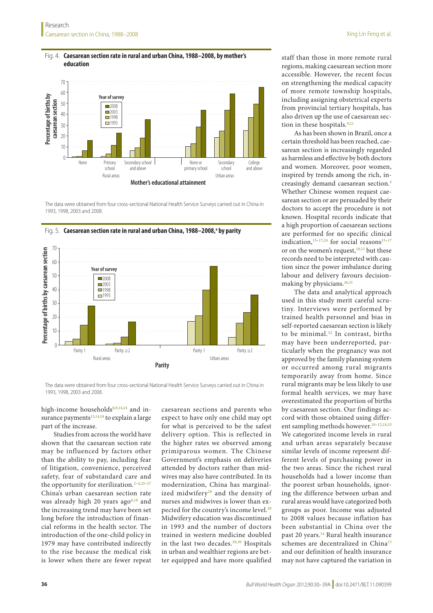<span id="page-6-0"></span>

The data were obtained from four cross-sectional National Health Service Surveys carried out in China in 1993, 1998, 2003 and 2008.



<span id="page-6-1"></span>Fig. 5. **Caesarean section rate in rural and urban China, 1988–2008,<sup>a</sup> by parity** 

The data were obtained from four cross-sectional National Health Service Surveys carried out in China in 1993, 1998, 2003 and 2008.

high-income households<sup>[8](#page-9-4),[9](#page-9-3),[14](#page-9-8),[24](#page-9-17)</sup> and in-surance payments<sup>[13](#page-9-7)[,14,](#page-9-8)[18](#page-9-11)</sup> to explain a large part of the increase.

Studies from across the world have shown that the caesarean section rate may be influenced by factors other than the ability to pay, including fear of litigation, convenience, perceived safety, fear of substandard care and the opportunity for sterilization.<sup>2-[4,](#page-9-19)[25](#page-9-20)-27</sup> China's urban caesarean section rate was already high 20 years ago $8,18$  $8,18$  and the increasing trend may have been set long before the introduction of financial reforms in the health sector. The introduction of the one-child policy in 1979 may have contributed indirectly to the rise because the medical risk is lower when there are fewer repeat

caesarean sections and parents who expect to have only one child may opt for what is perceived to be the safest delivery option. This is reflected in the higher rates we observed among primiparous women. The Chinese Government's emphasis on deliveries attended by doctors rather than midwives may also have contributed. In its modernization, China has marginalized midwifery<sup>28</sup> and the density of nurses and midwives is lower than ex-pected for the country's income level.<sup>[29](#page-9-23)</sup> Midwifery education was discontinued in 1993 and the number of doctors trained in western medicine doubled in the last two decades.<sup>[28](#page-9-22),[30](#page-9-24)</sup> Hospitals in urban and wealthier regions are better equipped and have more qualified

staff than those in more remote rural regions, making caesarean section more accessible. However, the recent focus on strengthening the medical capacity of more remote township hospitals, including assigning obstetrical experts from provincial tertiary hospitals, has also driven up the use of caesarean section in these hospitals. $9,21$  $9,21$ 

As has been shown in Brazil, once a certain threshold has been reached, caesarean section is increasingly regarded as harmless and effective by both doctors and women. Moreover, poor women, inspired by trends among the rich, increasingly demand caesarean section.[4](#page-9-19) Whether Chinese women request caesarean section or are persuaded by their doctors to accept the procedure is not known. Hospital records indicate that a high proportion of caesarean sections are performed for no specific clinical indication, $15-17,24$  $15-17,24$  for social reasons $15-17$ or on the women's request,<sup>[10](#page-9-5),12</sup> but these records need to be interpreted with caution since the power imbalance during labour and delivery favours decisionmaking by physicians. $26,31$  $26,31$ 

The data and analytical approach used in this study merit careful scrutiny. Interviews were performed by trained health personnel and bias in self-reported caesarean section is likely to be minimal.[32](#page-9-27) In contrast, births may have been underreported, particularly when the pregnancy was not approved by the family planning system or occurred among rural migrants temporarily away from home. Since rural migrants may be less likely to use formal health services, we may have overestimated the proportion of births by caesarean section. Our findings accord with those obtained using differ-ent sampling methods however.<sup>[10](#page-9-5)-12[,18,](#page-9-11)[33](#page-9-28)</sup> We categorized income levels in rural and urban areas separately because similar levels of income represent different levels of purchasing power in the two areas. Since the richest rural households had a lower income than the poorest urban households, ignoring the difference between urban and rural areas would have categorized both groups as poor. Income was adjusted to 2008 values because inflation has been substantial in China over the past 20 years.<sup>[34](#page-9-29)</sup> Rural health insurance schemes are decentralized in China<sup>[13](#page-9-7)</sup> and our definition of health insurance may not have captured the variation in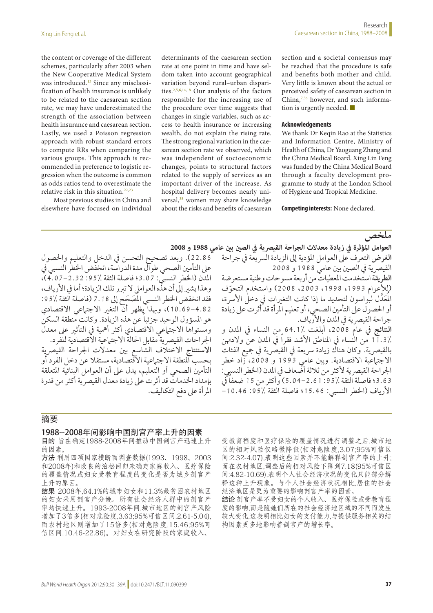the content or coverage of the different schemes, particularly after 2003 when the New Cooperative Medical System was introduced.<sup>13</sup> Since any misclassification of health insurance is unlikely to be related to the caesarean section rate, we may have underestimated the strength of the association between health insurance and caesarean section. Lastly, we used a Poisson regression approach with robust standard errors to compute RRs when comparing the various groups. This approach is recommended in preference to logistic regression when the outcome is common as odds ratios tend to overestimate the relative risk in this situation.<sup>22[,23](#page-9-16)</sup>

Most previous studies in China and elsewhere have focused on individual determinants of the caesarean section rate at one point in time and have seldom taken into account geographical variation beyond rural–urban disparities.[2,](#page-9-18)[5,](#page-9-30)[6](#page-9-1)[,14,](#page-9-8)[18](#page-9-11) Our analysis of the factors responsible for the increasing use of the procedure over time suggests that changes in single variables, such as access to health insurance or increasing wealth, do not explain the rising rate. The strong regional variation in the caesarean section rate we observed, which was independent of socioeconomic changes, points to structural factors related to the supply of services as an important driver of the increase. As hospital delivery becomes nearly uni-versal,<sup>[35](#page-9-31)</sup> women may share knowledge about the risks and benefits of caesarean

section and a societal consensus may be reached that the procedure is safe and benefits both mother and child. Very little is known about the actual or perceived safety of caesarean section in China,[7](#page-9-2),[36](#page-9-32) however, and such information is urgently needed. ■

#### **Acknowledgements**

We thank Dr Keqin Rao at the Statistics and Information Centre, Ministry of Health of China, Dr Yaoguang Zhang and the China Medical Board. Xing Lin Feng was funded by the China Medical Board through a faculty development programme to study at the London School of Hygiene and Tropical Medicine.

**Competing interests:** None declared.

# **ملخص**

العوامل المؤثرة في زيادة معدلات الجراحة القيصرية في الصين بين عامي 1988 و 2008

22.86(. وبعد تصحيح التحسن يف الدخل والتعليم واحلصول على التأمين الصحي طوال مدة الدراسة، انخفض الخطر النسبي في المدن (الخطر النسبي: 3.07؛ فاصلة الثقة ٪95: 2.32–4.07)، وهذا يشير إلى أن هذّه العوامل لا تبرر تلك الزيادة؛ أما في الأرياف، فقد انخفض الخطر النسبي المُصَحِح إلى 7.18 (فاصلة الثقة ٪95: 4.82–10.69)، وبهذا يظهر أنّ التغير الاجتماعي الاقتصادي هو المسؤول الوحيد جزئياً عن هذه الزيادة. وكانت منطقة السكن ومستواها الاجتهاعي الاقتصادي أكثر أهمية في التأثير على معدل اجلراحات القيرصية مقابل احلالة االجتامعية االقتصادية للفرد. ا**لاستنتاج** الاختلاف الشاسع بين معدلات الجراحة القيصرية بحسب املنطقة االجتامعية االقتصادية، مستقال عن دخل الفرد أو التأمني الصحي أو التعليم، يدل عىل أن العوامل البنائية املتعلقة بإمداد اخلدمات قد أثرت عىل زيادة معدل القيرصية أكثر من قدرة املرأة عىل دفع التكاليف.

**الغرض** التعرف عىل العوامل املؤدية إىل الزيادة الرسيعة يف جراحة القيصرية في الصين بين عامي 1988 و 2008 **الطريقة** استخدمت املعطيات من أربعة مسوحات وطنية مستعرضة )لألعوام ،1993 ،1998 ،2003 2008 ّ ( واستخدم التحوف لِمُعَدَّل لبواسون لتحديد ما إذا كانت التغيرات في دخل الأسرة، ُ أو احلصول عىل التأمني الصحي، أو تعليم املرأة قد أثرت عىل زيادة جراحة القيصرية في المدن والأرياف. **النتائج** يف عام ،2008 أبلغت 64.1% من النساء يف املدن و 11.3٪ من النساء في المناطق الأشد فقراً في المدن عن ولادتهن بالقيصرية. وكان هناك زيادة سريعة في القيصرية في جميع الفئات

الاجتهاعية الاقتصادية. وبين عامي 1993 و 2008، زاد خطر الجراحة القيصرية لأكثر من ثلاثة أضّعاف في المدن (الخطر النسبي: 3.63؛ فاصلة الثقة ٪95: 16.1-04-50) وأكثر من 15 ضعفاً في الأرياف (الخطر النسبي: 15.46؛ فاصلة الثقة /95: 10.46-

## 摘要

#### 1988--2008年间影响中国剖宫产率上升的因素

目的 旨在确定1988-2008年间推动中国剖宫产迅速上升 的因素。

方法 利用四项国家横断面调查数据(1993、1998、2003 和2008年)和改良的泊松回归来确定家庭收入、医疗保险 的覆盖情况或妇女受教育程度的变化是否为城乡剖宫产 上升的原因。

结果 2008年,64.1%的城市妇女和11.3%最贫困农村地区 的妇女采用剖宫产分娩。所有社会经济人群中的剖宫产 率均快速上升。1993-2008年间,城市地区的剖宫产风险 增加了3倍多(相对危险度,3.63;95%可信区间,2.61-5.04), 而农村地区则增加了15倍多(相对危险度,15.46;95%可 信区间,10.46-22.86)。对妇女在研究阶段的家庭收入、

受教育程度和医疗保险的覆盖情况进行调整之后,城市地 区的相对风险仅略微降低(相对危险度,3.07;95%可信区 间:2.32-4.07),表明这些因素并不能解释剖宫产率的上升; 而在农村地区,调整后的相对风险下降到7.18(95%可信区 间:4.82-10.69),表明个人社会经济状况的变化只能部分解 释这种上升现象。与个人社会经济状况相比,居住的社会 经济地区是更为重要的影响剖宫产率的因素。

结论 剖宫产率不受妇女的个人收入、医疗保险或受教育程 度的影响,而是随她们所在的社会经济地区域的不同而发生 较大变化,这表明相比妇女的支付能力,与提供服务相关的结 构因素更多地影响着剖宫产的增长率。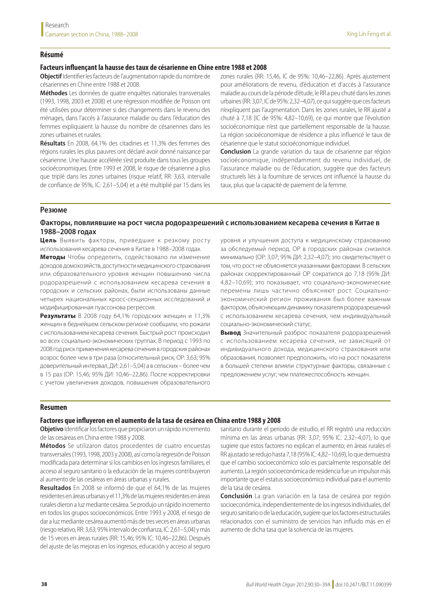#### **Résumé**

## **Facteurs influençant la hausse des taux de césarienne en Chine entre 1988 et 2008**

**Objectif** Identifier les facteurs de l'augmentation rapide du nombre de césariennes en Chine entre 1988 et 2008.

**Méthodes** Les données de quatre enquêtes nationales transversales (1993, 1998, 2003 et 2008) et une régression modifiée de Poisson ont été utilisées pour déterminer si des changements dans le revenu des ménages, dans l'accès à l'assurance maladie ou dans l'éducation des femmes expliquaient la hausse du nombre de césariennes dans les zones urbaines et rurales.

**Résultats** En 2008, 64,1% des citadines et 11,3% des femmes des régions rurales les plus pauvres ont déclaré avoir donné naissance par césarienne. Une hausse accélérée s'est produite dans tous les groupes socioéconomiques. Entre 1993 et 2008, le risque de césarienne a plus que triplé dans les zones urbaines (risque relatif, RR: 3,63, intervalle de confiance de 95%, IC: 2,61–5,04) et a été multiplié par 15 dans les

zones rurales (RR: 15,46, IC de 95%: 10,46–22,86). Après ajustement pour améliorations de revenu, d'éducation et d'accès à l'assurance maladie au cours de la période d'étude, le RR a peu chuté dans les zones urbaines (RR: 3,07, IC de 95%: 2,32–4,07), ce qui suggère que ces facteurs n'expliquent pas l'augmentation. Dans les zones rurales, le RR ajusté a chuté à 7,18 (IC de 95%: 4,82–10,69), ce qui montre que l'évolution socioéconomique n'est que partiellement responsable de la hausse. La région socioéconomique de résidence a plus influencé le taux de césarienne que le statut socioéconomique individuel.

**Conclusion** La grande variation du taux de césarienne par région socioéconomique, indépendamment du revenu individuel, de l'assurance maladie ou de l'éducation, suggère que des facteurs structurels liés à la fourniture de services ont influencé la hausse du taux, plus que la capacité de paiement de la femme.

#### **Резюме**

## **Факторы, повлиявшие на рост числа родоразрешений с использованием кесарева сечения в Китае в 1988–2008 годах**

**Цель** Выявить факторы, приведшие к резкому росту использования кесарева сечения в Китае в 1988–2008 годах.

**Методы** Чтобы определить, содействовало ли изменение доходов домохозяйств, доступности медицинского страхования или образовательного уровня женщин повышению числа родоразрешений с использованием кесарева сечения в городских и сельских районах, были использованы данные четырех национальных кросс-секционных исследований и модифицированная пуассонова регрессия.

**Результаты** В 2008 году 64,1% городских женщин и 11,3% женщин в беднейшем сельском регионе сообщили, что рожали с использованием кесарева сечения. Быстрый рост происходил во всех социально-экономических группах. В период с 1993 по 2008 год риск применения кесарева сечения в городских районах возрос более чем в три раза (относительный риск, ОР: 3,63; 95% доверительный интервал, ДИ: 2,61–5,04) а в сельских – более чем в 15 раз (ОР: 15,46; 95% ДИ: 10,46–22,86). После корректировки с учетом увеличения доходов, повышения образовательного

уровня и улучшения доступа к медицинскому страхованию за обследуемый период, ОР в городских районах снизился минимально (ОР: 3,07; 95% ДИ: 2,32–4,07); это свидетельствует о том, что рост не объясняется указанными факторами. В сельских районах скорректированный ОР сократился до 7,18 (95% ДИ: 4,82–10,69); это показывает, что социально-экономические перемены лишь частично объясняют рост. Социальноэкономический регион проживания был более важным фактором, объясняющим динамику показателя родоразрешений с использованием кесарева сечения, чем индивидуальный социально-экономический статус.

**Вывод** Значительный разброс показателя родоразрешений с использованием кесарева сечения, не зависящий от индивидуального дохода, медицинского страхования или образования, позволяет предположить, что на рост показателя в большей степени влияли структурные факторы, связанные с предложением услуг, чем платежеспособность женщин.

## **Resumen**

#### **Factores que influyeron en el aumento de la tasa de cesárea en China entre 1988 y 2008**

**Objetivo** Identificar los factores que propiciaron un rápido incremento de las cesáreas en China entre 1988 y 2008.

**Métodos** Se utilizaron datos procedentes de cuatro encuestas transversales (1993, 1998, 2003 y 2008), así como la regresión de Poisson modificada para determinar si los cambios en los ingresos familiares, el acceso al seguro sanitario o la educación de las mujeres contribuyeron al aumento de las cesáreas en áreas urbanas y rurales.

**Resultados** En 2008 se informó de que el 64,1% de las mujeres residentes en áreas urbanas y el 11,3% de las mujeres residentes en áreas rurales dieron a luz mediante cesárea. Se produjo un rápido incremento en todos los grupos socioeconómicos. Entre 1993 y 2008, el riesgo de dar a luz mediante cesárea aumentó más de tres veces en áreas urbanas (riesgo relativo, RR: 3,63; 95% intervalo de confianza, IC: 2,61–5,04) y más de 15 veces en áreas rurales (RR: 15,46; 95% IC: 10,46–22,86). Después del ajuste de las mejoras en los ingresos, educación y acceso al seguro

sanitario durante el periodo de estudio, el RR registró una reducción mínima en las áreas urbanas (RR: 3,07; 95% IC: 2,32–4,07), lo que sugiere que estos factores no explican el aumento; en áreas rurales el RR ajustado se redujo hasta 7,18 (95% IC: 4,82–10,69), lo que demuestra que el cambio socioeconómico solo es parcialmente responsable del aumento. La región socioeconómica de residencia fue un impulsor más importante que el estatus socioeconómico individual para el aumento de la tasa de cesárea.

**Conclusión** La gran variación en la tasa de cesárea por región socioeconómica, independientemente de los ingresos individuales, del seguro sanitario o de la educación, sugiere que los factores estructurales relacionados con el suministro de servicios han influido más en el aumento de dicha tasa que la solvencia de las mujeres.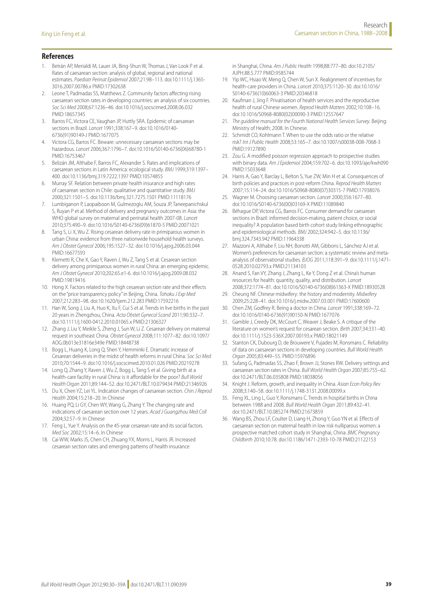## **References**

- <span id="page-9-0"></span>1. Betrán AP, Merialdi M, Lauer JA, Bing-Shun W, Thomas J, Van Look P et al. Rates of caesarean section: analysis of global, regional and national estimates. *Paediatr Perinat Epidemiol* 2007;21:98–113. doi[:10.1111/j.1365-](http://dx.doi.org/10.1111/j.1365-3016.2007.00786.x) [3016.2007.00786.x](http://dx.doi.org/10.1111/j.1365-3016.2007.00786.x) PMID[:17302638](http://www.ncbi.nlm.nih.gov/pubmed/17302638)
- <span id="page-9-18"></span>2. Leone T, Padmadas SS, Matthews Z. Community factors affecting rising caesarean section rates in developing countries: an analysis of six countries. *Soc Sci Med* 2008;67:1236–46. doi:[10.1016/j.socscimed.2008.06.032](http://dx.doi.org/10.1016/j.socscimed.2008.06.032) PMID:[18657345](http://www.ncbi.nlm.nih.gov/pubmed/18657345)
- 3. Barros FC, Victora CE, Vaughan JP, Huttly SRA. Epidemic of caesarean sections in Brazil. *Lancet* 1991;338:167–9. doi[:10.1016/0140-](http://dx.doi.org/10.1016/0140-6736(91)90149-J) [6736\(91\)90149-J](http://dx.doi.org/10.1016/0140-6736(91)90149-J) PMID:[1677075](http://www.ncbi.nlm.nih.gov/pubmed/1677075)
- <span id="page-9-19"></span>4. Victora CG, Barros FC. Beware: unnecessary caesarean sections may be hazardous. *Lancet* 2006;367:1796–7. doi[:10.1016/S0140-6736\(06\)68780-1](http://dx.doi.org/10.1016/S0140-6736(06)68780-1) PMID:[16753467](http://www.ncbi.nlm.nih.gov/pubmed/16753467)
- <span id="page-9-30"></span>5. Belizán JM, Althabe F, Barros FC, Alexander S. Rates and implications of caesarean sections in Latin America: ecological study. *BMJ* 1999;319:1397– 400. doi[:10.1136/bmj.319.7222.1397](http://dx.doi.org/10.1136/bmj.319.7222.1397) PMID[:10574855](http://www.ncbi.nlm.nih.gov/pubmed/10574855)
- <span id="page-9-1"></span>6. Murray SF. Relation between private health insurance and high rates of caesarean section in Chile: qualitative and quantitative study. *BMJ* 2000;321:1501–5. doi[:10.1136/bmj.321.7275.1501](http://dx.doi.org/10.1136/bmj.321.7275.1501) PMID[:11118176](http://www.ncbi.nlm.nih.gov/pubmed/11118176)
- <span id="page-9-2"></span>7. Lumbiganon P, Laopaiboon M, Gulmezoglu AM, Souza JP, Taneepanichskul S, Ruyan P et al. Method of delivery and pregnancy outcomes in Asia: the WHO global survey on maternal and perinatal health 2007-08. *Lancet* 2010;375:490–9. doi:[10.1016/S0140-6736\(09\)61870-5](http://dx.doi.org/10.1016/S0140-6736(09)61870-5) PMID[:20071021](http://www.ncbi.nlm.nih.gov/pubmed/20071021)
- <span id="page-9-4"></span>8. Tang S, Li X, Wu Z. Rising cesarean delivery rate in primiparous women in urban China: evidence from three nationwide household health surveys. *Am J Obstet Gynecol* 2006;195:1527–32. doi[:10.1016/j.ajog.2006.03.044](http://dx.doi.org/10.1016/j.ajog.2006.03.044) PMID:[16677593](http://www.ncbi.nlm.nih.gov/pubmed/16677593)
- <span id="page-9-3"></span>Klemetti R, Che X, Gao Y, Raven J, Wu Z, Tang S et al. Cesarean section delivery among primiparous women in rural China: an emerging epidemic. *Am J Obstet Gynecol* 2010;202:65.e1-6. doi[:10.1016/j.ajog.2009.08.032](http://dx.doi.org/10.1016/j.ajog.2009.08.032) PMID:[19819416](http://www.ncbi.nlm.nih.gov/pubmed/19819416)
- <span id="page-9-5"></span>10. Hong X. Factors related to the high cesarean section rate and their effects on the "price transparency policy" in Beijing, China. *Tohoku J Exp Med* 2007;212:283–98. doi[:10.1620/tjem.212.283](http://dx.doi.org/10.1620/tjem.212.283) PMID:[17592216](http://www.ncbi.nlm.nih.gov/pubmed/17592216)
- 11. Han W, Song J, Liu A, Huo K, Xu F, Cui S et al. Trends in live births in the past 20 years in Zhengzhou, China. *Acta Obstet Gynecol Scand* 2011;90:332–7. doi[:10.1111/j.1600-0412.2010.01065.x](http://dx.doi.org/10.1111/j.1600-0412.2010.01065.x) PMID[:21306327](http://www.ncbi.nlm.nih.gov/pubmed/21306327)
- <span id="page-9-6"></span>12. Zhang J, Liu Y, Meikle S, Zheng J, Sun W, Li Z. Cesarean delivery on maternal request in southeast China. *Obstet Gynecol* 2008;111:1077–82. doi[:10.1097/](http://dx.doi.org/10.1097/AOG.0b013e31816e349e) [AOG.0b013e31816e349e](http://dx.doi.org/10.1097/AOG.0b013e31816e349e) PMID:[18448738](http://www.ncbi.nlm.nih.gov/pubmed/18448738)
- <span id="page-9-7"></span>13. Bogg L, Huang K, Long Q, Shen Y, Hemminki E. Dramatic increase of Cesarean deliveries in the midst of health reforms in rural China. *Soc Sci Med* 2010;70:1544–9. doi:[10.1016/j.socscimed.2010.01.026](http://dx.doi.org/10.1016/j.socscimed.2010.01.026) PMID:[20219278](http://www.ncbi.nlm.nih.gov/pubmed/20219278)
- <span id="page-9-8"></span>14. Long Q, Zhang Y, Raven J, Wu Z, Bogg L, Tang S et al. Giving birth at a health-care facility in rural China: is it affordable for the poor? *Bull World Health Organ* 2011;89:144–52. doi:[10.2471/BLT.10.079434](http://dx.doi.org/10.2471/BLT.10.079434) PMID:[21346926](http://www.ncbi.nlm.nih.gov/pubmed/21346926)
- <span id="page-9-9"></span>15. Du X, Chen YZ, Lei YL. Indication changes of caesarean section. *Chin J Reprod Health* 2004;15:218–20. In Chinese
- 16. Huang PQ, Li GY, Chen WY, Wang G, Zhang Y. The changing rate and indications of caesarean section over 12 years. *Acad J Guangzhou Med Coll* 2004;32:57–9. In Chinese
- <span id="page-9-10"></span>17. Feng L, Yue Y. Analysis on the 45-year cesarean rate and its social factors. *Med Soc* 2002;15:14–6. In Chinese
- <span id="page-9-11"></span>18. Cai WW, Marks JS, Chen CH, Zhuang YX, Morris L, Harris JR. Increased cesarean section rates and emerging patterns of health insurance

in Shanghai, China. *Am J Public Health* 1998;88:777–80. doi:[10.2105/](http://dx.doi.org/10.2105/AJPH.88.5.777) [AJPH.88.5.777](http://dx.doi.org/10.2105/AJPH.88.5.777) PMID[:9585744](http://www.ncbi.nlm.nih.gov/pubmed/9585744)

- <span id="page-9-12"></span>19. Yip WC, Hsiao W, Meng Q, Chen W, Sun X. Realignment of incentives for health-care providers in China. *Lancet* 2010;375:1120–30. doi:[10.1016/](http://dx.doi.org/10.1016/S0140-6736(10)60063-3) [S0140-6736\(10\)60063-3](http://dx.doi.org/10.1016/S0140-6736(10)60063-3) PMID:[20346818](http://www.ncbi.nlm.nih.gov/pubmed/20346818)
- <span id="page-9-13"></span>20. Kaufman J, Jing F. Privatisation of health services and the reproductive health of rural Chinese women. *Reprod Health Matters* 2002;10:108–16. doi[:10.1016/S0968-8080\(02\)00090-3](http://dx.doi.org/10.1016/S0968-8080(02)00090-3) PMID[:12557647](http://www.ncbi.nlm.nih.gov/pubmed/12557647)
- <span id="page-9-14"></span>21. *The guideline manual for the Fourth National Health Services Survey*. Beijing: Ministry of Health; 2008. In Chinese.
- <span id="page-9-15"></span>22. Schmidt CO, Kohlmann T. When to use the odds ratio or the relative risk? *Int J Public Health* 2008;53:165–7. doi[:10.1007/s00038-008-7068-3](http://dx.doi.org/10.1007/s00038-008-7068-3) PMID:[19127890](http://www.ncbi.nlm.nih.gov/pubmed/19127890)
- <span id="page-9-16"></span>23. Zou G. A modified poisson regression approach to prospective studies with binary data. *Am J Epidemiol* 2004;159:702–6. doi[:10.1093/aje/kwh090](http://dx.doi.org/10.1093/aje/kwh090) PMID:[15033648](http://www.ncbi.nlm.nih.gov/pubmed/15033648)
- <span id="page-9-17"></span>24. Harris A, Gao Y, Barclay L, Belton S, Yue ZW, Min H et al. Consequences of birth policies and practices in post-reform China. *Reprod Health Matters* 2007;15:114–24. doi:[10.1016/S0968-8080\(07\)30315-7](http://dx.doi.org/10.1016/S0968-8080(07)30315-7) PMID:[17938076](http://www.ncbi.nlm.nih.gov/pubmed/17938076)
- <span id="page-9-20"></span>25. Wagner M. Choosing caesarean section. *Lancet* 2000;356:1677–80. doi[:10.1016/S0140-6736\(00\)03169-X](http://dx.doi.org/10.1016/S0140-6736(00)03169-X) PMID[:11089840](http://www.ncbi.nlm.nih.gov/pubmed/11089840)
- <span id="page-9-25"></span>26. Béhague DP, Victora CG, Barros FC. Consumer demand for caesarean sections in Brazil: informed decision-making, patient choice, or social inequality? A population based birth cohort study linking ethnographic and epidemiological methods. *BMJ* 2002;324:942–5. doi[:10.1136/](http://dx.doi.org/10.1136/bmj.324.7343.942) [bmj.324.7343.942](http://dx.doi.org/10.1136/bmj.324.7343.942) PMID:[11964338](http://www.ncbi.nlm.nih.gov/pubmed/11964338)
- <span id="page-9-21"></span>27. Mazzoni A, Althabe F, Liu NH, Bonotti AM, Gibbons L, Sánchez AJ et al. Women's preferences for caesarean section: a systematic review and metaanalysis of observational studies. *BJOG* 2011;118:391–9. doi[:10.1111/j.1471-](http://dx.doi.org/10.1111/j.1471-0528.2010.02793.x) [0528.2010.02793.x](http://dx.doi.org/10.1111/j.1471-0528.2010.02793.x) PMID[:21134103](http://www.ncbi.nlm.nih.gov/pubmed/21134103)
- <span id="page-9-22"></span>28. Anand S, Fan VY, Zhang J, Zhang L, Ke Y, Dong Z et al. China's human resources for health: quantity, quality, and distribution. *Lancet* 2008;372:1774–81. doi:[10.1016/S0140-6736\(08\)61363-X](http://dx.doi.org/10.1016/S0140-6736(08)61363-X) PMID:[18930528](http://www.ncbi.nlm.nih.gov/pubmed/18930528)
- <span id="page-9-23"></span>29. Cheung NF. Chinese midwifery: the history and modernity. *Midwifery* 2009;25:228–41. doi:[10.1016/j.midw.2007.03.001](http://dx.doi.org/10.1016/j.midw.2007.03.001) PMID:[17600600](http://www.ncbi.nlm.nih.gov/pubmed/17600600)
- <span id="page-9-24"></span>30. Chen ZM, Godfrey R. Being a doctor in China. *Lancet* 1991;338:169–72. doi[:10.1016/0140-6736\(91\)90150-N](http://dx.doi.org/10.1016/0140-6736(91)90150-N) PMID:[1677076](http://www.ncbi.nlm.nih.gov/pubmed/1677076)
- <span id="page-9-26"></span>31. Gamble J, Creedy DK, McCourt C, Weaver J, Beake S. A critique of the literature on women's request for cesarean section. *Birth* 2007;34:331–40. doi[:10.1111/j.1523-536X.2007.00193.x](http://dx.doi.org/10.1111/j.1523-536X.2007.00193.x) PMID[:18021149](http://www.ncbi.nlm.nih.gov/pubmed/18021149)
- <span id="page-9-27"></span>32. Stanton CK, Dubourg D, de Brouwere V, Pujades M, Ronsmans C. Reliability of data on caesarean sections in developing countries. *Bull World Health Organ* 2005;83:449–55. PMID[:15976896](http://www.ncbi.nlm.nih.gov/pubmed/15976896)
- <span id="page-9-28"></span>33. Sufang G, Padmadas SS, Zhao F, Brown JJ, Stones RW. Delivery settings and caesarean section rates in China. *Bull World Health Organ* 2007;85:755–62. doi[:10.2471/BLT.06.035808](http://dx.doi.org/10.2471/BLT.06.035808) PMID[:18038056](http://www.ncbi.nlm.nih.gov/pubmed/18038056)
- <span id="page-9-29"></span>34. Knight J. Reform, growth, and inequality in China. *Asian Econ Policy Rev* 2008;3:140–58. doi[:10.1111/j.1748-3131.2008.00099.x](http://dx.doi.org/10.1111/j.1748-3131.2008.00099.x)
- <span id="page-9-31"></span>35. Feng XL, Ling L, Guo Y, Ronsmans C. Trends in hospital births in China between 1988 and 2008. *Bull World Health Organ* 2011;89:432–41. doi[:10.2471/BLT.10.085274](http://dx.doi.org/10.2471/BLT.10.085274) PMID[:21673859](http://www.ncbi.nlm.nih.gov/pubmed/21673859)
- <span id="page-9-32"></span>36. Wang BS, Zhou LF, Coulter D, Liang H, Zhong Y, Guo YN et al. Effects of caesarean section on maternal health in low risk nulliparous women: a prospective matched cohort study in Shanghai, China. *BMC Pregnancy Childbirth* 2010;10:78. doi[:10.1186/1471-2393-10-78](http://dx.doi.org/10.1186/1471-2393-10-78) PMID[:21122153](http://www.ncbi.nlm.nih.gov/pubmed/21122153)